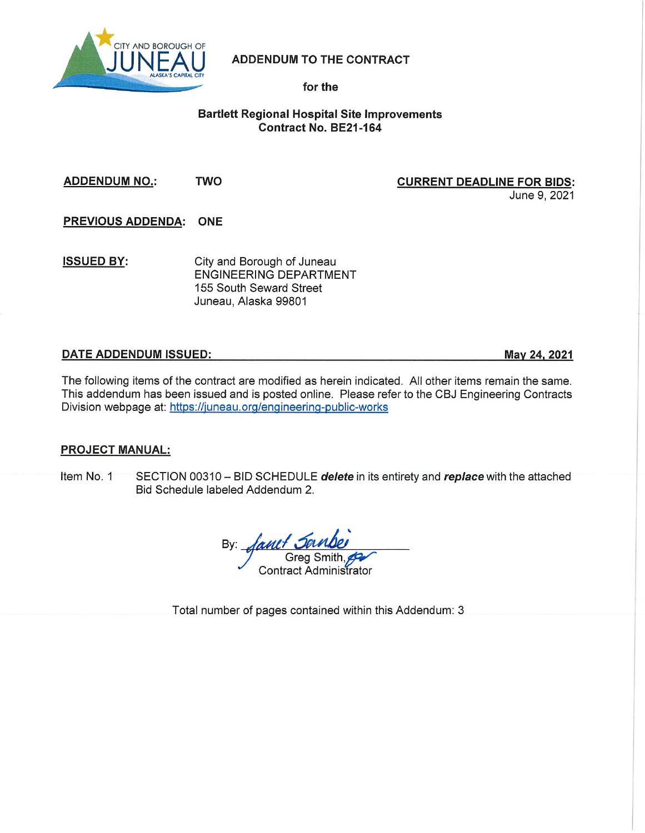

## **ADDENDUM TO THE CONTRACT**

for the

#### **Bartlett Regional Hospital Site Improvements** Contract No. BE21-164

**ADDENDUM NO.: TWO** 

#### **CURRENT DEADLINE FOR BIDS:** June 9, 2021

**PREVIOUS ADDENDA: ONE** 

**ISSUED BY:** City and Borough of Juneau **ENGINEERING DEPARTMENT** 155 South Seward Street Juneau, Alaska 99801

### DATE ADDENDUM ISSUED:

May 24, 2021

The following items of the contract are modified as herein indicated. All other items remain the same. This addendum has been issued and is posted online. Please refer to the CBJ Engineering Contracts Division webpage at: https://juneau.org/engineering-public-works

# **PROJECT MANUAL:**

Item No. 1 SECTION 00310 - BID SCHEDULE delete in its entirety and replace with the attached Bid Schedule labeled Addendum 2.

By: *Janet Deu* 

Total number of pages contained within this Addendum: 3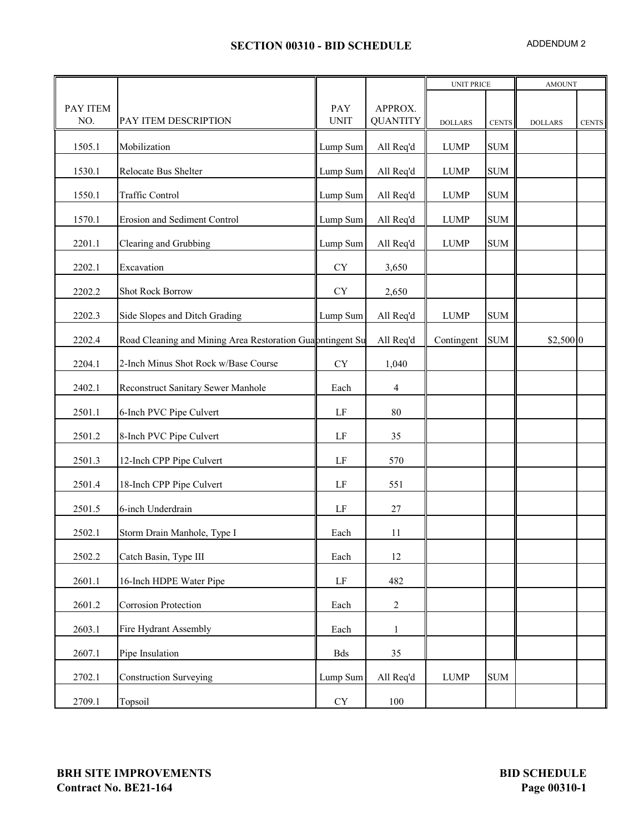|                 |                                                           |                    |                            | <b>UNIT PRICE</b> |                             | <b>AMOUNT</b>  |              |
|-----------------|-----------------------------------------------------------|--------------------|----------------------------|-------------------|-----------------------------|----------------|--------------|
| PAY ITEM<br>NO. | PAY ITEM DESCRIPTION                                      | PAY<br><b>UNIT</b> | APPROX.<br><b>QUANTITY</b> | <b>DOLLARS</b>    | <b>CENTS</b>                | <b>DOLLARS</b> | <b>CENTS</b> |
| 1505.1          | Mobilization                                              | Lump Sum           | All Req'd                  | <b>LUMP</b>       | $\mathbf{SUM}$              |                |              |
| 1530.1          | Relocate Bus Shelter                                      | Lump Sum           | All Req'd                  | <b>LUMP</b>       | $\mathbf{SUM}$              |                |              |
| 1550.1          | <b>Traffic Control</b>                                    | Lump Sum           | All Req'd                  | <b>LUMP</b>       | $\rm SUM$                   |                |              |
| 1570.1          | Erosion and Sediment Control                              | Lump Sum           | All Req'd                  | <b>LUMP</b>       | <b>SUM</b>                  |                |              |
| 2201.1          | Clearing and Grubbing                                     | Lump Sum           | All Req'd                  | <b>LUMP</b>       | $\ensuremath{\mathrm{SUM}}$ |                |              |
| 2202.1          | Excavation                                                | <b>CY</b>          | 3,650                      |                   |                             |                |              |
| 2202.2          | <b>Shot Rock Borrow</b>                                   | ${\rm CY}$         | 2,650                      |                   |                             |                |              |
| 2202.3          | Side Slopes and Ditch Grading                             | Lump Sum           | All Req'd                  | <b>LUMP</b>       | <b>SUM</b>                  |                |              |
| 2202.4          | Road Cleaning and Mining Area Restoration Guapntingent Su |                    | All Req'd                  | Contingent        | <b>SUM</b>                  | $$2,500$ 0     |              |
| 2204.1          | 2-Inch Minus Shot Rock w/Base Course                      | <b>CY</b>          | 1,040                      |                   |                             |                |              |
| 2402.1          | Reconstruct Sanitary Sewer Manhole                        | Each               | $\overline{4}$             |                   |                             |                |              |
| 2501.1          | 6-Inch PVC Pipe Culvert                                   | LF                 | 80                         |                   |                             |                |              |
| 2501.2          | 8-Inch PVC Pipe Culvert                                   | LF                 | 35                         |                   |                             |                |              |
| 2501.3          | 12-Inch CPP Pipe Culvert                                  | LF                 | 570                        |                   |                             |                |              |
| 2501.4          | 18-Inch CPP Pipe Culvert                                  | LF                 | 551                        |                   |                             |                |              |
| 2501.5          | 6-inch Underdrain                                         | LF                 | 27                         |                   |                             |                |              |
| 2502.1          | Storm Drain Manhole, Type I                               | Each               | 11                         |                   |                             |                |              |
| 2502.2          | Catch Basin, Type III                                     | Each               | 12                         |                   |                             |                |              |
| 2601.1          | 16-Inch HDPE Water Pipe                                   | LF                 | 482                        |                   |                             |                |              |
| 2601.2          | <b>Corrosion Protection</b>                               | Each               | $\overline{2}$             |                   |                             |                |              |
| 2603.1          | Fire Hydrant Assembly                                     | Each               | $\mathbf{1}$               |                   |                             |                |              |
| 2607.1          | Pipe Insulation                                           | Bds                | 35                         |                   |                             |                |              |
| 2702.1          | <b>Construction Surveying</b>                             | Lump Sum           | All Req'd                  | <b>LUMP</b>       | <b>SUM</b>                  |                |              |
| 2709.1          | Topsoil                                                   | ${\rm CY}$         | $100\,$                    |                   |                             |                |              |